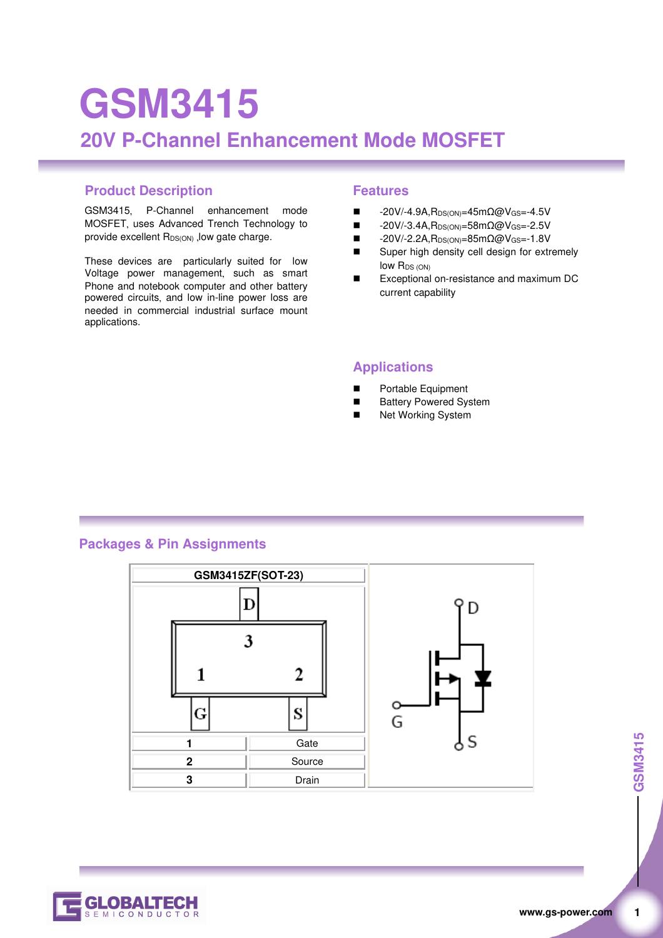# **GSM3415 20V P-Channel Enhancement Mode MOSFET**

#### **Product Description Features**

GSM3415, P-Channel enhancement mode MOSFET, uses Advanced Trench Technology to provide excellent R<sub>DS(ON)</sub>, low gate charge.

These devices are particularly suited for low Voltage power management, such as smart Phone and notebook computer and other battery powered circuits, and low in-line power loss are needed in commercial industrial surface mount applications.

- -20V/-4.9A, R<sub>DS(ON)</sub>=45mΩ@V<sub>GS</sub>=-4.5V
- $\blacksquare$  -20V/-3.4A, R<sub>DS(ON)</sub>=58mΩ@V<sub>GS</sub>=-2.5V
- -20V/-2.2A, R<sub>DS(ON)</sub>=85mΩ@V<sub>GS</sub>=-1.8V
- Super high density cell design for extremely  $low$  R<sub>DS (ON)</sub>
- Exceptional on-resistance and maximum DC current capability

#### **Applications**

- Portable Equipment
- Battery Powered System
- Net Working System

#### **Packages & Pin Assignments**



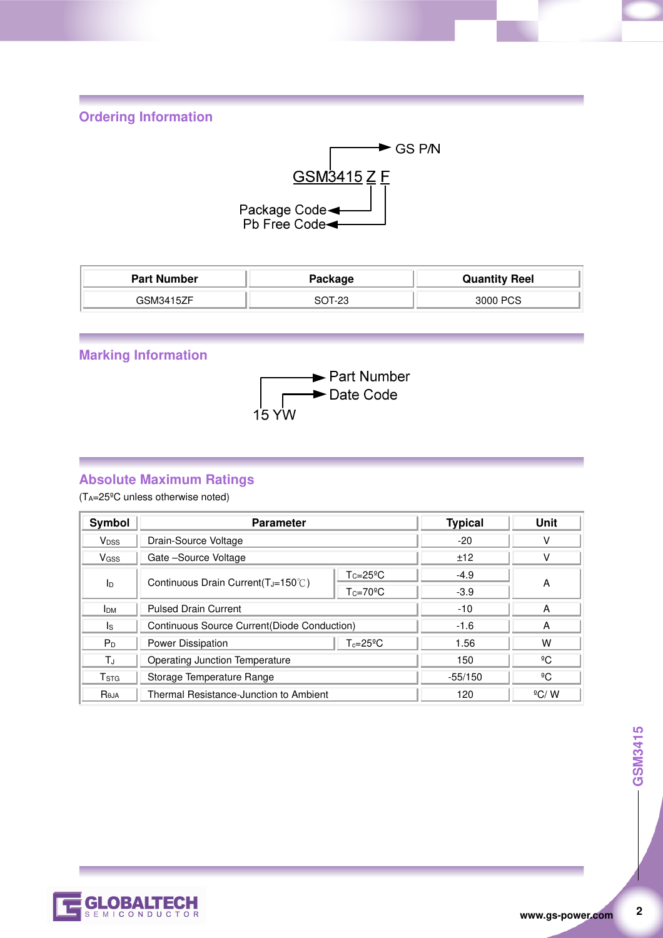**Ordering Information** 



| <b>Part Number</b> | Package | <b>Quantity Reel</b> |
|--------------------|---------|----------------------|
| GSM3415ZF          | DT-23   | 3000 PCS             |

# **Marking Information**



### **Absolute Maximum Ratings**

(TA=25ºC unless otherwise noted)

| Symbol                   | <b>Parameter</b>                                 |                    | <b>Typical</b> | Unit           |  |
|--------------------------|--------------------------------------------------|--------------------|----------------|----------------|--|
| <b>V</b> <sub>DSS</sub>  | Drain-Source Voltage                             |                    | $-20$          |                |  |
| <b>V</b> <sub>GSS</sub>  | Gate-Source Voltage                              |                    | ±12            | V              |  |
| Iр                       | Continuous Drain Current (T <sub>J</sub> =150°C) | $Tc = 25^{\circ}C$ | $-4.9$         |                |  |
|                          |                                                  | $Tc=70^{\circ}C$   | $-3.9$         | A              |  |
| Iрм                      | <b>Pulsed Drain Current</b>                      |                    | $-10$          | A              |  |
| ls.                      | Continuous Source Current (Diode Conduction)     |                    | $-1.6$         | A              |  |
| P <sub>D</sub>           | Power Dissipation<br>$T_c = 25^{\circ}$ C        |                    | 1.56           | w              |  |
| ТJ                       | Operating Junction Temperature                   |                    | 150            | $\rm ^{6}C$    |  |
| <b>T</b> st <sub>G</sub> | Storage Temperature Range                        |                    | $-55/150$      | ºC             |  |
| Reja                     | Thermal Resistance-Junction to Ambient           |                    | 120            | $\rm ^{0}C/$ W |  |



 $\overline{2}$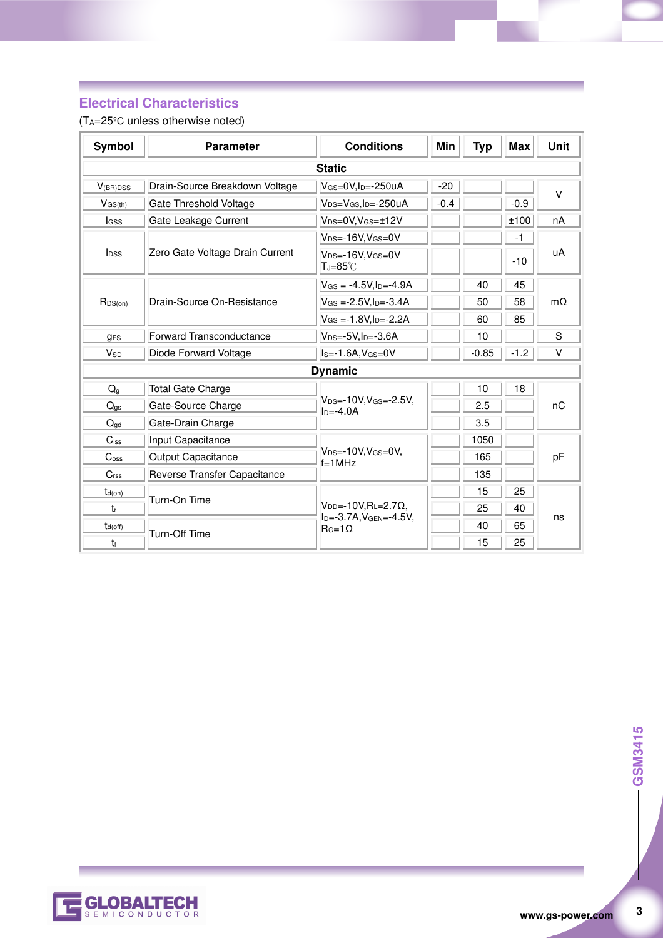#### **Electrical Characteristics**

(TA=25ºC unless otherwise noted)

| <b>Symbol</b>           | <b>Parameter</b>                | <b>Conditions</b>                                      | Min    | <b>Typ</b> | <b>Max</b> | <b>Unit</b> |  |
|-------------------------|---------------------------------|--------------------------------------------------------|--------|------------|------------|-------------|--|
| <b>Static</b>           |                                 |                                                        |        |            |            |             |  |
| $V_{(BR)DSS}$           | Drain-Source Breakdown Voltage  | $V$ <sub>GS</sub> =0V, I <sub>D</sub> =-250uA          | $-20$  |            |            | $\vee$      |  |
| $V$ <sub>GS(th)</sub>   | Gate Threshold Voltage          | $V_{DS}=V_{GS}$ , I <sub>D</sub> =-250uA               | $-0.4$ |            | $-0.9$     |             |  |
| <b>I</b> GSS            | Gate Leakage Current            | $V_{DS}=0V$ , $V_{GS}=\pm 12V$                         |        |            | ±100       | nA          |  |
|                         | Zero Gate Voltage Drain Current | $V_{DS} = -16V, V_{GS} = 0V$                           |        |            | -1         | uA          |  |
| <b>l</b> <sub>pss</sub> |                                 | $V_{DS} = -16V$ , $V_{GS} = 0V$<br>$T_J = 85^{\circ}C$ |        |            | $-10$      |             |  |
|                         | Drain-Source On-Resistance      | $V_{GS} = -4.5V I_{D} = -4.9A$                         |        | 40         | 45         | $m\Omega$   |  |
| $R_{DS(on)}$            |                                 | $V$ <sub>GS</sub> = -2.5V.l <sub>D</sub> = -3.4A       |        | 50         | 58         |             |  |
|                         |                                 | $V_{GS} = -1.8V I_{D} = -2.2A$                         |        | 60         | 85         |             |  |
| <b>GFS</b>              | Forward Transconductance        | $V_{DS} = -5V$ , $I_D = -3.6A$                         |        | 10         |            | S           |  |
| <b>V<sub>SD</sub></b>   | Diode Forward Voltage           | $Is = -1.6A$ , $V_{GS} = 0V$                           |        | $-0.85$    | $-1.2$     | V           |  |
|                         |                                 | <b>Dynamic</b>                                         |        |            |            |             |  |
| $Q_q$                   | <b>Total Gate Charge</b>        |                                                        |        | 10         | 18         |             |  |
| $Q_{gs}$                | Gate-Source Charge              | $V_{DS} = -10V$ , $V_{GS} = -2.5V$ ,<br>$In=-4.0A$     |        | 2.5        |            | nC          |  |
| $Q_{gd}$                | Gate-Drain Charge               |                                                        |        | 3.5        |            |             |  |
| $C_{iss}$               | Input Capacitance               |                                                        |        | 1050       |            |             |  |
| $C_{\rm oss}$           | Output Capacitance              | $V_{DS} = -10V$ , $V_{GS} = 0V$ ,<br>$f=1$ MHz         |        | 165        |            | рF          |  |
| C <sub>rss</sub>        | Reverse Transfer Capacitance    |                                                        |        | 135        |            |             |  |
| $t_{d(on)}$             |                                 |                                                        |        | 15         | 25         |             |  |
| tr                      | Turn-On Time                    | $V_{DD} = -10V, R_L = 2.7\Omega$                       |        | 25         | 40         |             |  |
| $t_{d(off)}$            |                                 | $I_{D} = -3.7A$ , $V_{GEN} = -4.5V$ ,<br>$R_G=1\Omega$ |        | 40         | 65         | ns          |  |
| tŧ                      | Turn-Off Time                   |                                                        |        | 15         | 25         |             |  |



 $\mathbf{3}$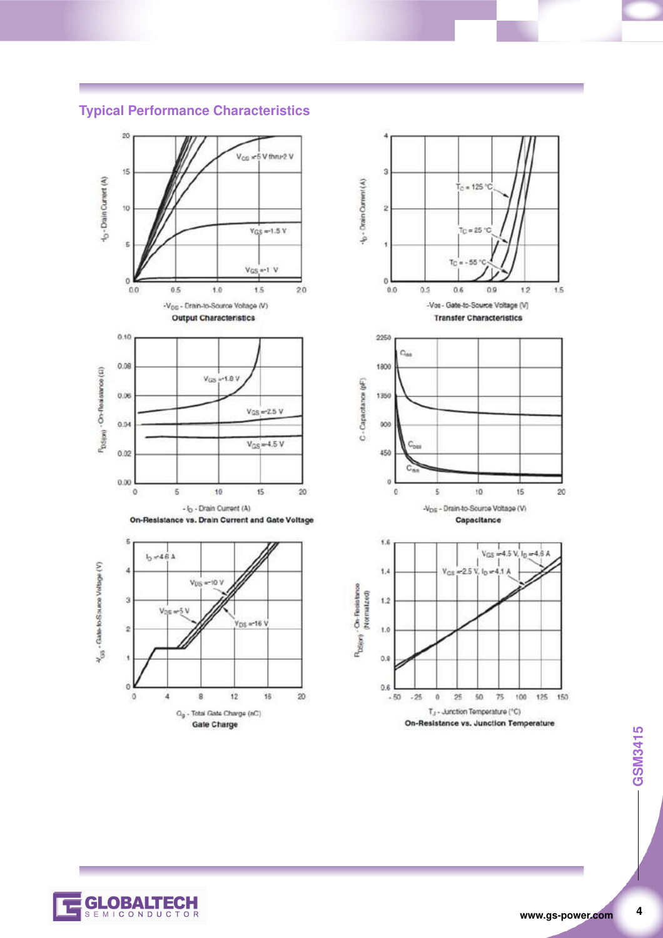

#### **Typical Performance Characteristics**

20

 $\mathbf{0}$ 

 $\circ$ 

**ELOBALTECH** 

G

 $\overline{\mathbf{4}}$ 

8

 $12$ 

 $\Omega_g$  - Total Gate Charge (nC)

Gate Charge

16

20



 $T_c = 125 °C$ 

 $T_C = 25$  °C

**4 1 3415**

 $\overline{\mathbf{4}}$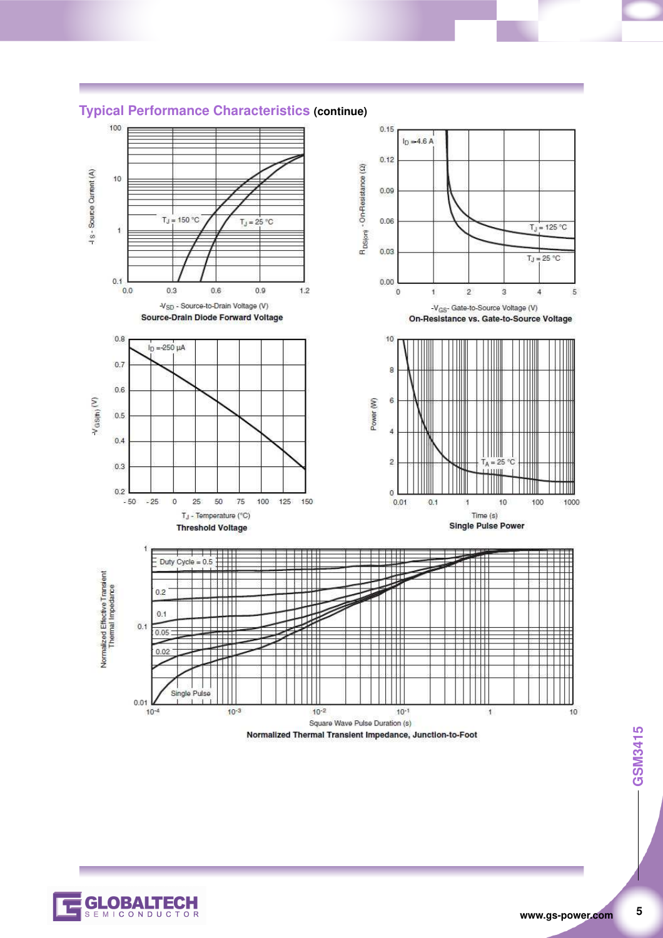

#### **Typical Performance Characteristics (continue)**



5

**3415**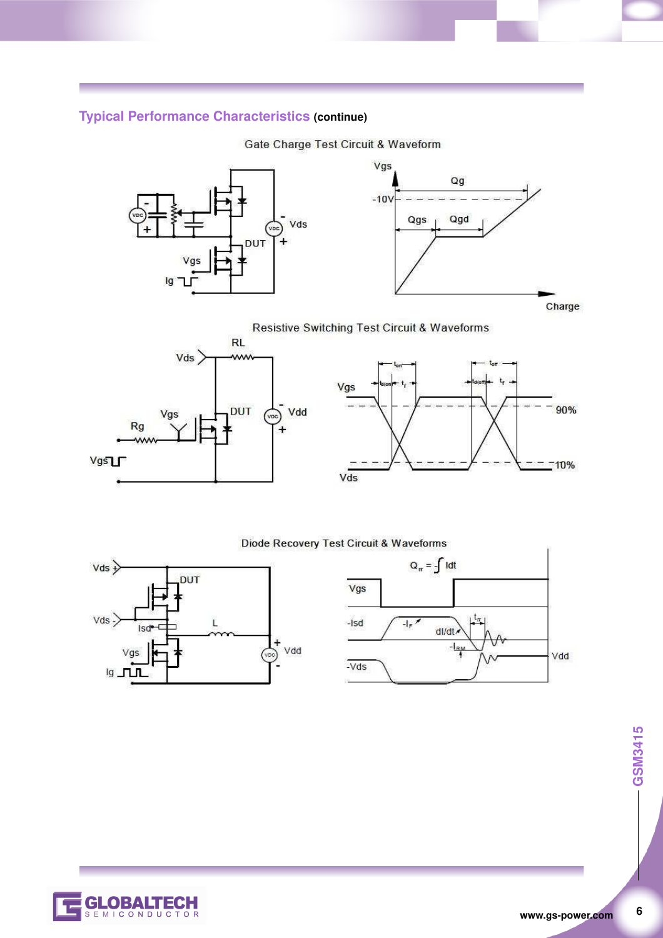## **Typical Performance Characteristics (continue)**

#### Gate Charge Test Circuit & Waveform



Resistive Switching Test Circuit & Waveforms





#### Diode Recovery Test Circuit & Waveforms







 $6\phantom{a}$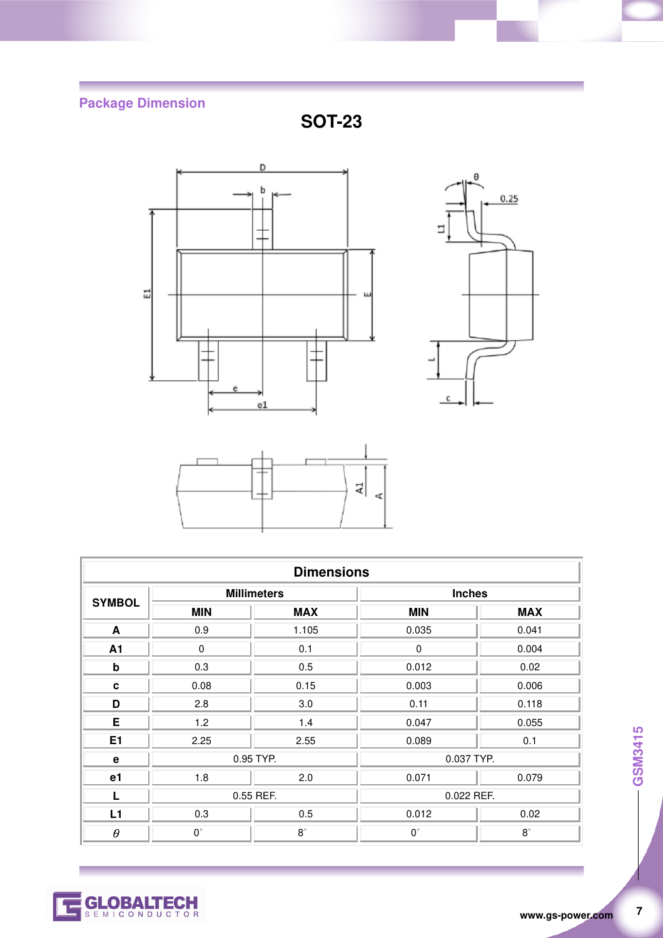# **Package Dimension**

**SOT-23** 







| <b>Dimensions</b> |             |                    |               |            |
|-------------------|-------------|--------------------|---------------|------------|
|                   |             | <b>Millimeters</b> | <b>Inches</b> |            |
| <b>SYMBOL</b>     | <b>MIN</b>  | <b>MAX</b>         | <b>MIN</b>    | <b>MAX</b> |
| A                 | 0.9         | 1.105              | 0.035         | 0.041      |
| A1                | $\pmb{0}$   | 0.1                | $\mathbf 0$   | 0.004      |
| $\mathbf b$       | 0.3         | 0.5                | 0.012         | 0.02       |
| C                 | 0.08        | 0.15               | 0.003         | 0.006      |
| D                 | 2.8         | 3.0                | 0.11          | 0.118      |
| E                 | 1.2         | 1.4                | 0.047         | 0.055      |
| E1                | 2.25        | 2.55               | 0.089         | 0.1        |
| $\mathbf e$       | 0.95 TYP.   |                    | 0.037 TYP.    |            |
| e <sub>1</sub>    | 1.8         | 2.0                | 0.071         | 0.079      |
| L                 | 0.55 REF.   |                    | 0.022 REF.    |            |
| L1                | 0.3         | 0.5                | 0.012         | 0.02       |
| $\theta$          | $0^{\circ}$ | $8^\circ$          | $0^{\circ}$   | $8^\circ$  |



 $\overline{7}$